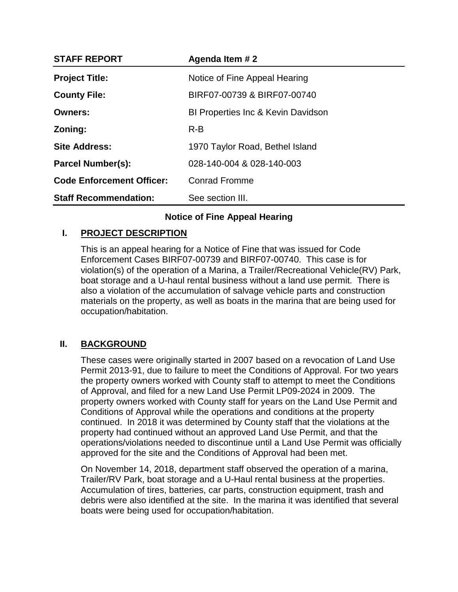| <b>STAFF REPORT</b>              | Agenda Item # 2                               |
|----------------------------------|-----------------------------------------------|
| <b>Project Title:</b>            | Notice of Fine Appeal Hearing                 |
| <b>County File:</b>              | BIRF07-00739 & BIRF07-00740                   |
| <b>Owners:</b>                   | <b>BI Properties Inc &amp; Kevin Davidson</b> |
| Zoning:                          | $R-B$                                         |
| <b>Site Address:</b>             | 1970 Taylor Road, Bethel Island               |
| <b>Parcel Number(s):</b>         | 028-140-004 & 028-140-003                     |
| <b>Code Enforcement Officer:</b> | <b>Conrad Fromme</b>                          |
| <b>Staff Recommendation:</b>     | See section III.                              |

# **Notice of Fine Appeal Hearing**

## **I. PROJECT DESCRIPTION**

This is an appeal hearing for a Notice of Fine that was issued for Code Enforcement Cases BIRF07-00739 and BIRF07-00740. This case is for violation(s) of the operation of a Marina, a Trailer/Recreational Vehicle(RV) Park, boat storage and a U-haul rental business without a land use permit. There is also a violation of the accumulation of salvage vehicle parts and construction materials on the property, as well as boats in the marina that are being used for occupation/habitation.

## **II. BACKGROUND**

These cases were originally started in 2007 based on a revocation of Land Use Permit 2013-91, due to failure to meet the Conditions of Approval. For two years the property owners worked with County staff to attempt to meet the Conditions of Approval, and filed for a new Land Use Permit LP09-2024 in 2009. The property owners worked with County staff for years on the Land Use Permit and Conditions of Approval while the operations and conditions at the property continued. In 2018 it was determined by County staff that the violations at the property had continued without an approved Land Use Permit, and that the operations/violations needed to discontinue until a Land Use Permit was officially approved for the site and the Conditions of Approval had been met.

On November 14, 2018, department staff observed the operation of a marina, Trailer/RV Park, boat storage and a U-Haul rental business at the properties. Accumulation of tires, batteries, car parts, construction equipment, trash and debris were also identified at the site. In the marina it was identified that several boats were being used for occupation/habitation.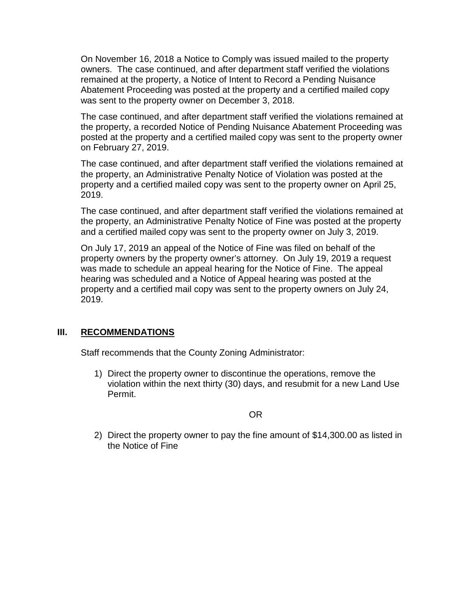On November 16, 2018 a Notice to Comply was issued mailed to the property owners. The case continued, and after department staff verified the violations remained at the property, a Notice of Intent to Record a Pending Nuisance Abatement Proceeding was posted at the property and a certified mailed copy was sent to the property owner on December 3, 2018.

The case continued, and after department staff verified the violations remained at the property, a recorded Notice of Pending Nuisance Abatement Proceeding was posted at the property and a certified mailed copy was sent to the property owner on February 27, 2019.

The case continued, and after department staff verified the violations remained at the property, an Administrative Penalty Notice of Violation was posted at the property and a certified mailed copy was sent to the property owner on April 25, 2019.

The case continued, and after department staff verified the violations remained at the property, an Administrative Penalty Notice of Fine was posted at the property and a certified mailed copy was sent to the property owner on July 3, 2019.

On July 17, 2019 an appeal of the Notice of Fine was filed on behalf of the property owners by the property owner's attorney. On July 19, 2019 a request was made to schedule an appeal hearing for the Notice of Fine. The appeal hearing was scheduled and a Notice of Appeal hearing was posted at the property and a certified mail copy was sent to the property owners on July 24, 2019.

## **III. RECOMMENDATIONS**

Staff recommends that the County Zoning Administrator:

1) Direct the property owner to discontinue the operations, remove the violation within the next thirty (30) days, and resubmit for a new Land Use Permit.

OR

2) Direct the property owner to pay the fine amount of \$14,300.00 as listed in the Notice of Fine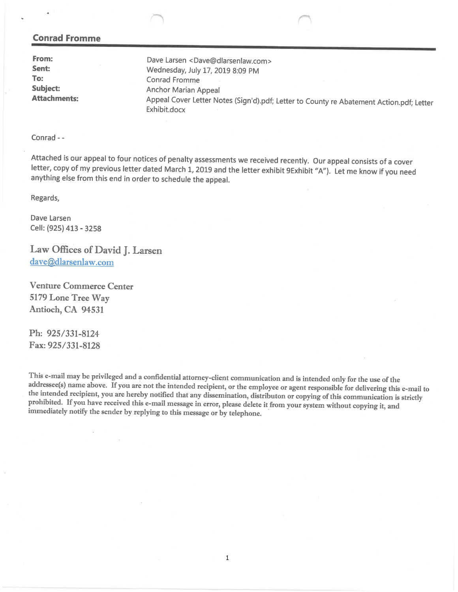#### **Conrad Fromme**

From: Dave Larsen <Dave@dlarsenlaw.com> Sent: Wednesday, July 17, 2019 8:09 PM To: Conrad Fromme **Subject: Anchor Marian Appeal Attachments:** Appeal Cover Letter Notes (Sign'd).pdf; Letter to County re Abatement Action.pdf; Letter Exhibit.docx

Conrad - -

Attached is our appeal to four notices of penalty assessments we received recently. Our appeal consists of a cover letter, copy of my previous letter dated March 1, 2019 and the letter exhibit 9Exhibit "A"). Let me know if you need anything else from this end in order to schedule the appeal.

Regards,

Dave Larsen Cell: (925) 413 - 3258

Law Offices of David J. Larsen dave@dlarsenlaw.com

**Venture Commerce Center** 5179 Lone Tree Way Antioch, CA 94531

Ph: 925/331-8124 Fax: 925/331-8128

This e-mail may be privileged and a confidential attorney-client communication and is intended only for the use of the addressee(s) name above. If you are not the intended recipient, or the employee or agent responsible for delivering this e-mail to the intended recipient, you are hereby notified that any dissemination, distributon or copying of this communication is strictly prohibited. If you have received this e-mail message in error, please delete it from your system without copying it, and immediately notify the sender by replying to this message or by telephone.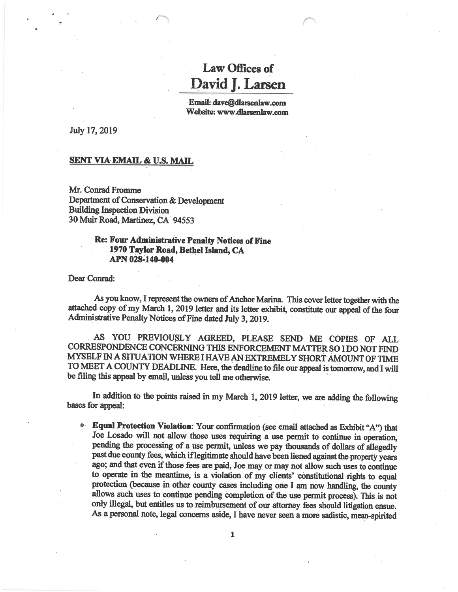# **Law Offices of** David J. Larsen

Email: dave@dlarsenlaw.com Website: www.dlarsenlaw.com

July 17, 2019

#### **SENT VIA EMAIL & U.S. MAIL**

Mr. Conrad Fromme Department of Conservation & Development **Building Inspection Division** 30 Muir Road, Martinez, CA 94553

### **Re: Four Administrative Penalty Notices of Fine** 1970 Taylor Road, Bethel Island, CA APN 028-140-004

Dear Conrad:

As you know, I represent the owners of Anchor Marina. This cover letter together with the attached copy of my March 1, 2019 letter and its letter exhibit, constitute our appeal of the four Administrative Penalty Notices of Fine dated July 3, 2019.

AS YOU PREVIOUSLY AGREED, PLEASE SEND ME COPIES OF ALL CORRESPONDENCE CONCERNING THIS ENFORCEMENT MATTER SO I DO NOT FIND MYSELF IN A SITUATION WHERE I HAVE AN EXTREMELY SHORT AMOUNT OF TIME TO MEET A COUNTY DEADLINE. Here, the deadline to file our appeal is tomorrow, and I will be filing this appeal by email, unless you tell me otherwise.

In addition to the points raised in my March 1, 2019 letter, we are adding the following bases for appeal:

Equal Protection Violation: Your confirmation (see email attached as Exhibit "A") that Joe Losado will not allow those uses requiring a use permit to continue in operation, pending the processing of a use permit, unless we pay thousands of dollars of allegedly past due county fees, which if legitimate should have been liened against the property years ago; and that even if those fees are paid, Joe may or may not allow such uses to continue to operate in the meantime, is a violation of my clients' constitutional rights to equal protection (because in other county cases including one I am now handling, the county allows such uses to continue pending completion of the use permit process). This is not only illegal, but entitles us to reimbursement of our attorney fees should litigation ensue. As a personal note, legal concerns aside, I have never seen a more sadistic, mean-spirited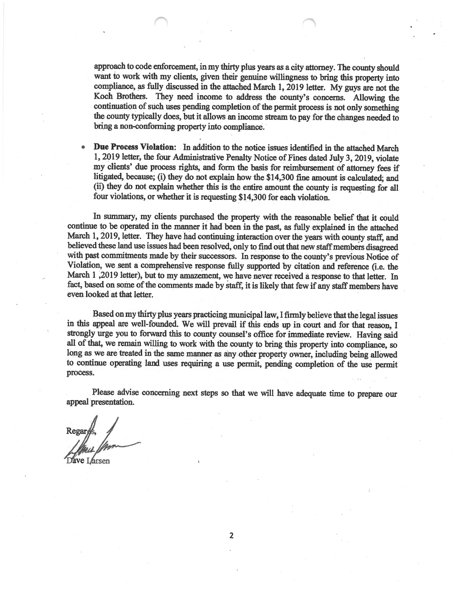approach to code enforcement, in my thirty plus years as a city attorney. The county should want to work with my clients, given their genuine willingness to bring this property into compliance, as fully discussed in the attached March 1, 2019 letter. My guys are not the Koch Brothers. They need income to address the county's concerns. Allowing the continuation of such uses pending completion of the permit process is not only something the county typically does, but it allows an income stream to pay for the changes needed to bring a non-conforming property into compliance.

Due Process Violation: In addition to the notice issues identified in the attached March 1, 2019 letter, the four Administrative Penalty Notice of Fines dated July 3, 2019, violate my clients' due process rights, and form the basis for reimbursement of attorney fees if litigated, because; (i) they do not explain how the \$14,300 fine amount is calculated; and (ii) they do not explain whether this is the entire amount the county is requesting for all four violations, or whether it is requesting \$14,300 for each violation.

In summary, my clients purchased the property with the reasonable belief that it could continue to be operated in the manner it had been in the past, as fully explained in the attached March 1, 2019, letter. They have had continuing interaction over the years with county staff, and believed these land use issues had been resolved, only to find out that new staff members disagreed with past commitments made by their successors. In response to the county's previous Notice of Violation, we sent a comprehensive response fully supported by citation and reference (i.e. the March 1,2019 letter), but to my amazement, we have never received a response to that letter. In fact, based on some of the comments made by staff, it is likely that few if any staff members have even looked at that letter.

Based on my thirty plus years practicing municipal law, I firmly believe that the legal issues in this appeal are well-founded. We will prevail if this ends up in court and for that reason. I strongly urge you to forward this to county counsel's office for immediate review. Having said all of that, we remain willing to work with the county to bring this property into compliance, so long as we are treated in the same manner as any other property owner, including being allowed to continue operating land uses requiring a use permit, pending completion of the use permit process.

Please advise concerning next steps so that we will have adequate time to prepare our appeal presentation.

Regar Dave Larsen

 $\overline{2}$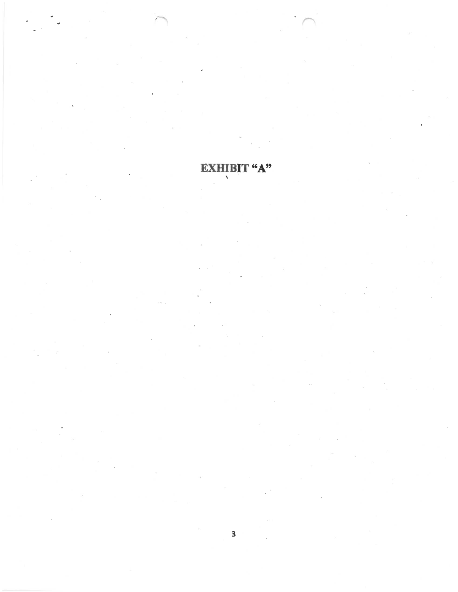#### EXHIBIT "A"  $\bar{\bar{\lambda}}$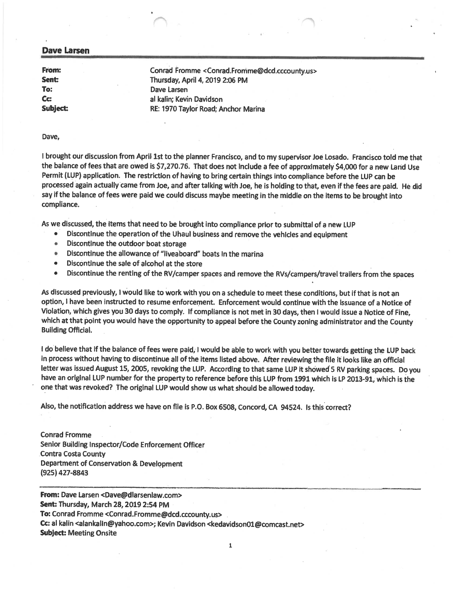#### **Dave Larsen**

From: Conrad Fromme <Conrad.Fromme@dcd.cccounty.us> Thursday, April 4, 2019 2:06 PM Dave Larsen al kalin: Kevin Davidson Subject: RE: 1970 Taylor Road: Anchor Marina

#### Dave,

Sent:

To:

Cc:

I brought our discussion from April 1st to the planner Francisco, and to my supervisor Joe Losado. Francisco told me that the balance of fees that are owed is \$7,270.76. That does not include a fee of approximately \$4,000 for a new Land Use Permit (LUP) application. The restriction of having to bring certain things into compliance before the LUP can be processed again actually came from Joe, and after talking with Joe, he is holding to that, even if the fees are paid. He did say if the balance of fees were paid we could discuss maybe meeting in the middle on the items to be brought into compliance.

As we discussed, the items that need to be brought into compliance prior to submittal of a new LUP

- Discontinue the operation of the Uhaul business and remove the vehicles and equipment  $\bullet$
- $\bullet$ Discontinue the outdoor boat storage
- Discontinue the allowance of "liveaboard" boats In the marina  $\bullet$
- $\bullet$ Discontinue the sale of alcohol at the store
- Discontinue the renting of the RV/camper spaces and remove the RVs/campers/travel trailers from the spaces  $\bullet$

As discussed previously, I would like to work with you on a schedule to meet these conditions, but if that is not an option, I have been instructed to resume enforcement. Enforcement would continue with the issuance of a Notice of Violation, which gives you 30 days to comply. If compliance is not met in 30 days, then I would issue a Notice of Fine, which at that point you would have the opportunity to appeal before the County zoning administrator and the County **Building Official.** 

I do believe that if the balance of fees were paid, I would be able to work with you better towards getting the LUP back in process without having to discontinue all of the items listed above. After reviewing the file it looks like an official letter was issued August 15, 2005, revoking the LUP. According to that same LUP it showed 5 RV parking spaces. Do you have an original LUP number for the property to reference before this LUP from 1991 which is LP 2013-91, which is the one that was revoked? The original LUP would show us what should be allowed today.

Also, the notification address we have on file is P.O. Box 6508, Concord, CA 94524. Is this correct?

**Conrad Fromme** Senior Building Inspector/Code Enforcement Officer **Contra Costa County** Department of Conservation & Development (925) 427-8843

From: Dave Larsen <Dave@diarsenlaw.com> Sent: Thursday, March 28, 2019 2:54 PM To: Conrad Fromme <Conrad.Fromme@dcd.cccounty.us> Cc: al kalin <alankalin@yahoo.com>; Kevin Davidson <kedavidson01@comcast.net> **Subject: Meeting Onsite** 

 $\mathbf{1}$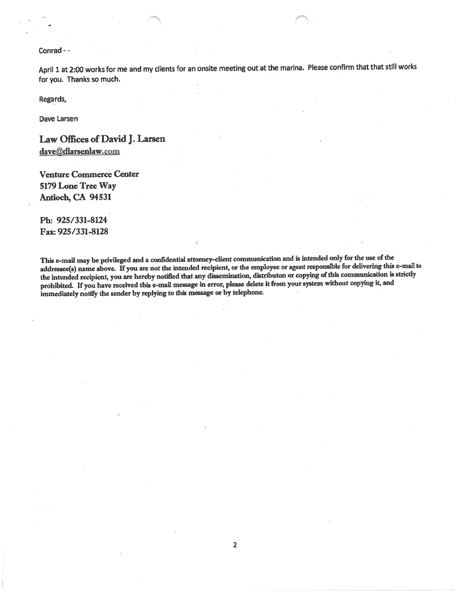#### Conrad --

April 1 at 2:00 works for me and my clients for an onsite meeting out at the marina. Please confirm that that still works for you. Thanks so much.

Regards,

Dave Larsen

Law Offices of David J. Larsen dave@dlarsenlaw.com

**Venture Commerce Center** 5179 Lone Tree Way Antioch, CA 94531

Ph: 925/331-8124 Fax: 925/331-8128

This e-mail may be privileged and a confidential attorney-client communication and is intended only for the use of the addressee(s) name above. If you are not the intended recipient, or the employee or agent responsible for delivering this e-mail to the intended recipient, you are hereby notified that any dissemination, distributon or copying of this communication is strictly prohibited. If you have received this e-mail message in error, please delete it from your system without copying it, and immediately notify the sender by replying to this message or by telephone.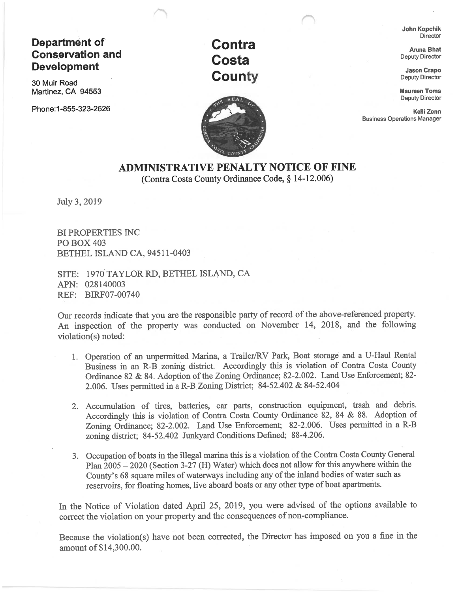# **Department of Conservation and Development**

30 Muir Road Martinez, CA 94553

Phone: 1-855-323-2626





John Kopchik **Director** 

**Aruna Bhat Deputy Director** 

**Jason Crapo Deputy Director** 

**Maureen Toms Deputy Director** 

Kelli Zenn **Business Operations Manager** 

# **ADMINISTRATIVE PENALTY NOTICE OF FINE** (Contra Costa County Ordinance Code, § 14-12.006)

July 3, 2019

**BI PROPERTIES INC PO BOX 403** BETHEL ISLAND CA, 94511-0403

SITE: 1970 TAYLOR RD, BETHEL ISLAND, CA APN: 028140003 REF: BIRF07-00740

Our records indicate that you are the responsible party of record of the above-referenced property. An inspection of the property was conducted on November 14, 2018, and the following violation(s) noted:

- 1. Operation of an unpermitted Marina, a Trailer/RV Park, Boat storage and a U-Haul Rental Business in an R-B zoning district. Accordingly this is violation of Contra Costa County Ordinance 82 & 84. Adoption of the Zoning Ordinance; 82-2.002. Land Use Enforcement; 82-2.006. Uses permitted in a R-B Zoning District; 84-52.402 & 84-52.404
- 2. Accumulation of tires, batteries, car parts, construction equipment, trash and debris. Accordingly this is violation of Contra Costa County Ordinance 82, 84 & 88. Adoption of Zoning Ordinance; 82-2.002. Land Use Enforcement; 82-2.006. Uses permitted in a R-B zoning district; 84-52.402 Junkyard Conditions Defined; 88-4.206.
- 3. Occupation of boats in the illegal marina this is a violation of the Contra Costa County General Plan 2005 – 2020 (Section 3-27 (H) Water) which does not allow for this anywhere within the County's 68 square miles of waterways including any of the inland bodies of water such as reservoirs, for floating homes, live aboard boats or any other type of boat apartments.

In the Notice of Violation dated April 25, 2019, you were advised of the options available to correct the violation on your property and the consequences of non-compliance.

Because the violation(s) have not been corrected, the Director has imposed on you a fine in the amount of \$14,300.00.